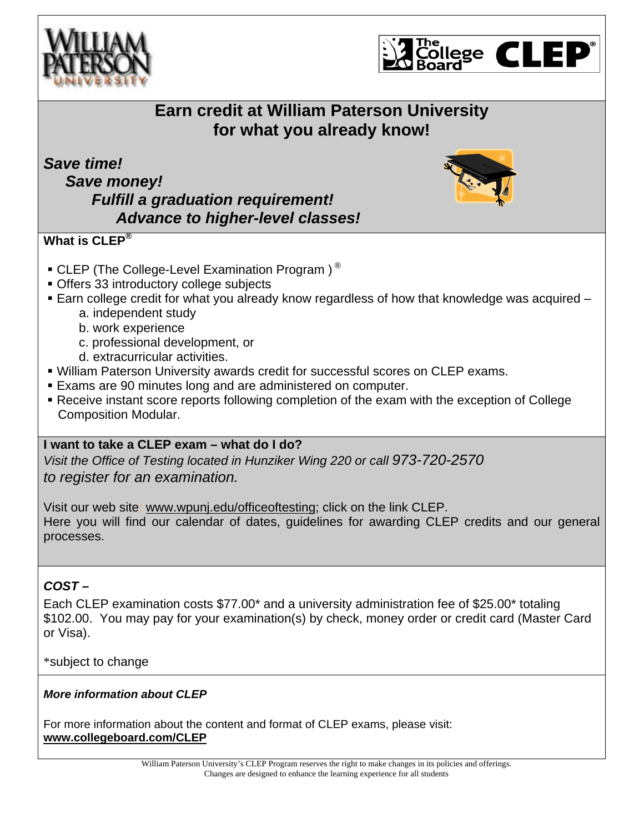



# **Earn credit at William Paterson University for what you already know!**

*Save time! Save money! Fulfill a graduation requirement! Advance to higher-level classes!* 



## **What is CLEP®**

- $\bullet$  CLEP (The College-Level Examination Program)<sup>®</sup>
- Offers 33 introductory college subjects
- Earn college credit for what you already know regardless of how that knowledge was acquired
	- a. independent study
	- b. work experience
	- c. professional development, or
	- d. extracurricular activities.
- William Paterson University awards credit for successful scores on CLEP exams.
- Exams are 90 minutes long and are administered on computer.
- Receive instant score reports following completion of the exam with the exception of College Composition Modular.

### **I want to take a CLEP exam – what do I do?**

*Visit the Office of Testing located in Hunziker Wing 220 or call 973-720-2570 to register for an examination.* 

Visit our web site: www.wpunj.edu/officeoftesting; click on the link CLEP. Here you will find our calendar of dates, guidelines for awarding CLEP credits and our general processes.

## *COST –*

Each CLEP examination costs \$77.00\* and a university administration fee of \$25.00\* totaling \$102.00. You may pay for your examination(s) by check, money order or credit card (Master Card or Visa).

#### \*subject to change

#### *More information about CLEP*

For more information about the content and format of CLEP exams, please visit: **www.collegeboard.com/CLEP**